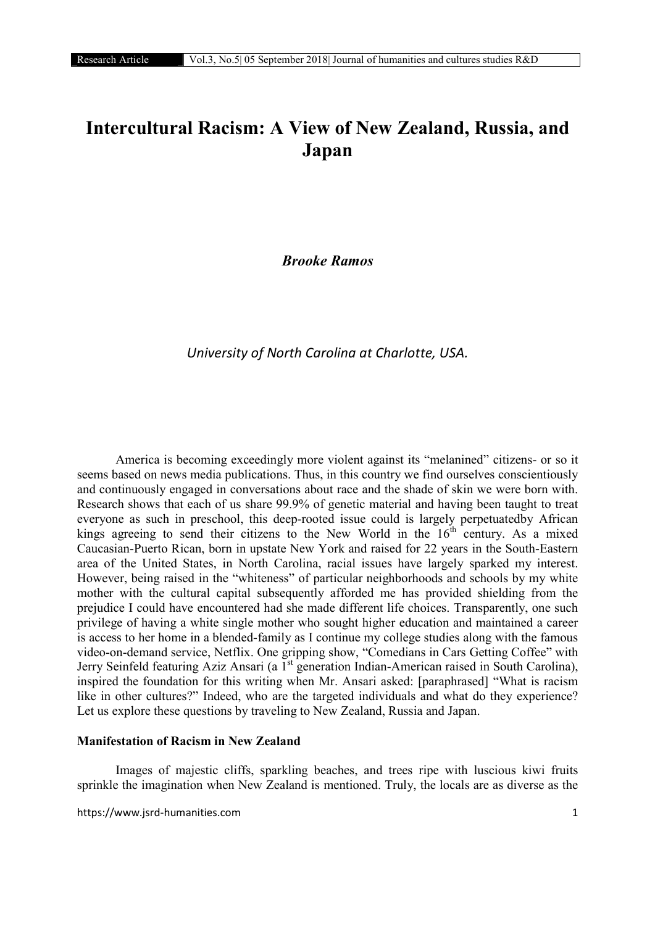# Intercultural Racism: A View of New Zealand, Russia, and Japan

*Brooke Ramos*

# *University of North Carolina at Charlotte, USA.*

America is becoming exceedingly more violent against its "melanined" citizens- or so it seems based on news media publications. Thus, in this country we find ourselves conscientiously and continuously engaged in conversations about race and the shade of skin we were born with. Research shows that each of us share 99.9% of genetic material and having been taught to treat everyone as such in preschool, this deep-rooted issue could is largely perpetuatedby African kings agreeing to send their citizens to the New World in the  $16<sup>th</sup>$  century. As a mixed Caucasian-Puerto Rican, born in upstate New York and raised for 22 years in the South-Eastern area of the United States, in North Carolina, racial issues have largely sparked my interest. However, being raised in the "whiteness" of particular neighborhoods and schools by my white mother with the cultural capital subsequently afforded me has provided shielding from the prejudice I could have encountered had she made different life choices. Transparently, one such privilege of having a white single mother who sought higher education and maintained a career is access to her home in a blended-family as I continue my college studies along with the famous video-on-demand service, Netflix. One gripping show, "Comedians in Cars Getting Coffee" with Jerry Seinfeld featuring Aziz Ansari (a 1<sup>st</sup> generation Indian-American raised in South Carolina), inspired the foundation for this writing when Mr. Ansari asked: [paraphrased] "What is racism like in other cultures?" Indeed, who are the targeted individuals and what do they experience? Let us explore these questions by traveling to New Zealand, Russia and Japan.

## Manifestation of Racism in New Zealand

Images of majestic cliffs, sparkling beaches, and trees ripe with luscious kiwi fruits sprinkle the imagination when New Zealand is mentioned. Truly, the locals are as diverse as the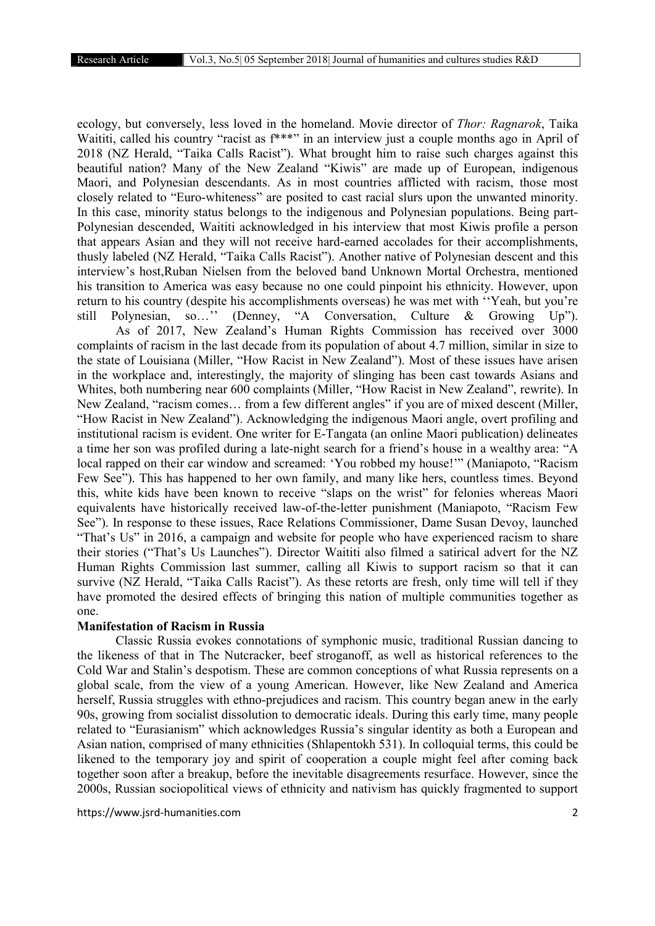ecology, but conversely, less loved in the homeland. Movie director of *Thor: Ragnarok*, Taika Waititi, called his country "racist as  $f^{***}$ " in an interview just a couple months ago in April of 2018 (NZ Herald, "Taika Calls Racist"). What brought him to raise such charges against this beautiful nation? Many of the New Zealand "Kiwis" are made up of European, indigenous Maori, and Polynesian descendants. As in most countries afflicted with racism, those most closely related to "Euro-whiteness" are posited to cast racial slurs upon the unwanted minority. In this case, minority status belongs to the indigenous and Polynesian populations. Being part-Polynesian descended, Waititi acknowledged in his interview that most Kiwis profile a person that appears Asian and they will not receive hard-earned accolades for their accomplishments, thusly labeled (NZ Herald, "Taika Calls Racist"). Another native of Polynesian descent and this interview's host,Ruban Nielsen from the beloved band Unknown Mortal Orchestra, mentioned his transition to America was easy because no one could pinpoint his ethnicity. However, upon return to his country (despite his accomplishments overseas) he was met with ''Yeah, but you're still Polynesian, so…'' (Denney, "A Conversation, Culture & Growing Up"). As of 2017, New Zealand's Human Rights Commission has received over 3000 complaints of racism in the last decade from its population of about 4.7 million, similar in size to the state of Louisiana (Miller, "How Racist in New Zealand"). Most of these issues have arisen in the workplace and, interestingly, the majority of slinging has been cast towards Asians and Whites, both numbering near 600 complaints (Miller, "How Racist in New Zealand", rewrite). In

New Zealand, "racism comes… from a few different angles" if you are of mixed descent (Miller, "How Racist in New Zealand"). Acknowledging the indigenous Maori angle, overt profiling and institutional racism is evident. One writer for E-Tangata (an online Maori publication) delineates a time her son was profiled during a late-night search for a friend's house in a wealthy area: "A local rapped on their car window and screamed: 'You robbed my house!'" (Maniapoto, "Racism Few See"). This has happened to her own family, and many like hers, countless times. Beyond this, white kids have been known to receive "slaps on the wrist" for felonies whereas Maori equivalents have historically received law-of-the-letter punishment (Maniapoto, "Racism Few See"). In response to these issues, Race Relations Commissioner, Dame Susan Devoy, launched "That's Us" in 2016, a campaign and website for people who have experienced racism to share their stories ("That's Us Launches"). Director Waititi also filmed a satirical advert for the NZ Human Rights Commission last summer, calling all Kiwis to support racism so that it can survive (NZ Herald, "Taika Calls Racist"). As these retorts are fresh, only time will tell if they have promoted the desired effects of bringing this nation of multiple communities together as one.

## Manifestation of Racism in Russia

Classic Russia evokes connotations of symphonic music, traditional Russian dancing to the likeness of that in The Nutcracker, beef stroganoff, as well as historical references to the Cold War and Stalin's despotism. These are common conceptions of what Russia represents on a global scale, from the view of a young American. However, like New Zealand and America herself, Russia struggles with ethno-prejudices and racism. This country began anew in the early 90s, growing from socialist dissolution to democratic ideals. During this early time, many people related to "Eurasianism" which acknowledges Russia's singular identity as both a European and Asian nation, comprised of many ethnicities (Shlapentokh 531). In colloquial terms, this could be likened to the temporary joy and spirit of cooperation a couple might feel after coming back together soon after a breakup, before the inevitable disagreements resurface. However, since the 2000s, Russian sociopolitical views of ethnicity and nativism has quickly fragmented to support

https://www.jsrd-humanities.com 2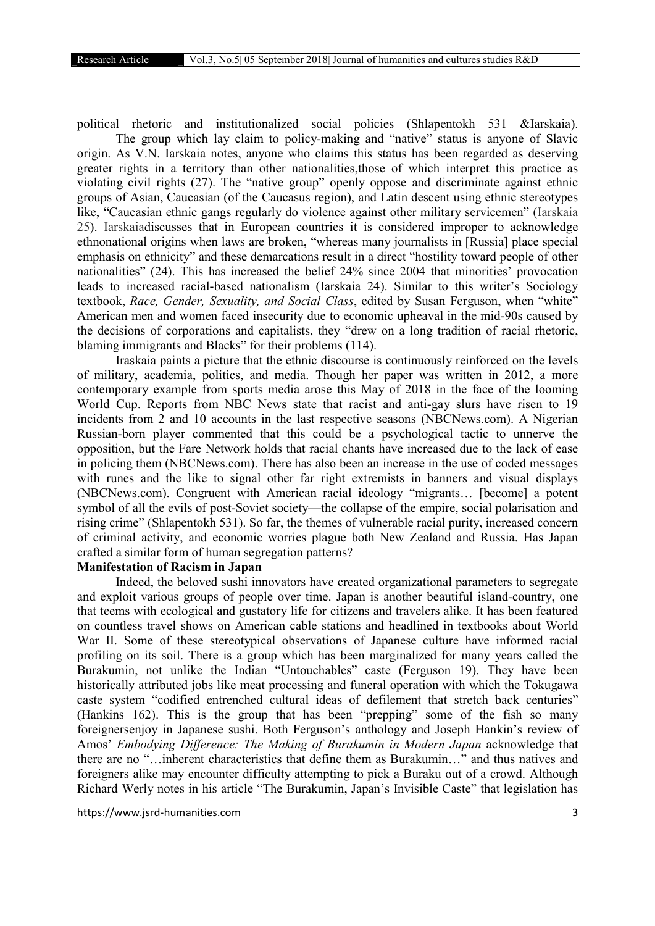political rhetoric and institutionalized social policies (Shlapentokh 531 &Iarskaia).

The group which lay claim to policy-making and "native" status is anyone of Slavic origin. As V.N. Iarskaia notes, anyone who claims this status has been regarded as deserving greater rights in a territory than other nationalities,those of which interpret this practice as violating civil rights (27). The "native group" openly oppose and discriminate against ethnic groups of Asian, Caucasian (of the Caucasus region), and Latin descent using ethnic stereotypes like, "Caucasian ethnic gangs regularly do violence against other military servicemen" (Iarskaia 25). Iarskaiadiscusses that in European countries it is considered improper to acknowledge ethnonational origins when laws are broken, "whereas many journalists in [Russia] place special emphasis on ethnicity" and these demarcations result in a direct "hostility toward people of other nationalities" (24). This has increased the belief 24% since 2004 that minorities' provocation leads to increased racial-based nationalism (Iarskaia 24). Similar to this writer's Sociology textbook, *Race, Gender, Sexuality, and Social Class*, edited by Susan Ferguson, when "white" American men and women faced insecurity due to economic upheaval in the mid-90s caused by the decisions of corporations and capitalists, they "drew on a long tradition of racial rhetoric, blaming immigrants and Blacks" for their problems (114).

Iraskaia paints a picture that the ethnic discourse is continuously reinforced on the levels of military, academia, politics, and media. Though her paper was written in 2012, a more contemporary example from sports media arose this May of 2018 in the face of the looming World Cup. Reports from NBC News state that racist and anti-gay slurs have risen to 19 incidents from 2 and 10 accounts in the last respective seasons (NBCNews.com). A Nigerian Russian-born player commented that this could be a psychological tactic to unnerve the opposition, but the Fare Network holds that racial chants have increased due to the lack of ease in policing them (NBCNews.com). There has also been an increase in the use of coded messages with runes and the like to signal other far right extremists in banners and visual displays (NBCNews.com). Congruent with American racial ideology "migrants… [become] a potent symbol of all the evils of post-Soviet society—the collapse of the empire, social polarisation and rising crime" (Shlapentokh 531). So far, the themes of vulnerable racial purity, increased concern of criminal activity, and economic worries plague both New Zealand and Russia. Has Japan crafted a similar form of human segregation patterns?

#### Manifestation of Racism in Japan

Indeed, the beloved sushi innovators have created organizational parameters to segregate and exploit various groups of people over time. Japan is another beautiful island-country, one that teems with ecological and gustatory life for citizens and travelers alike. It has been featured on countless travel shows on American cable stations and headlined in textbooks about World War II. Some of these stereotypical observations of Japanese culture have informed racial profiling on its soil. There is a group which has been marginalized for many years called the Burakumin, not unlike the Indian "Untouchables" caste (Ferguson 19). They have been historically attributed jobs like meat processing and funeral operation with which the Tokugawa caste system "codified entrenched cultural ideas of defilement that stretch back centuries" (Hankins 162). This is the group that has been "prepping" some of the fish so many foreignersenjoy in Japanese sushi. Both Ferguson's anthology and Joseph Hankin's review of Amos' *Embodying Difference: The Making of Burakumin in Modern Japan* acknowledge that there are no "…inherent characteristics that define them as Burakumin…" and thus natives and foreigners alike may encounter difficulty attempting to pick a Buraku out of a crowd. Although Richard Werly notes in his article "The Burakumin, Japan's Invisible Caste" that legislation has

https://www.jsrd-humanities.com 3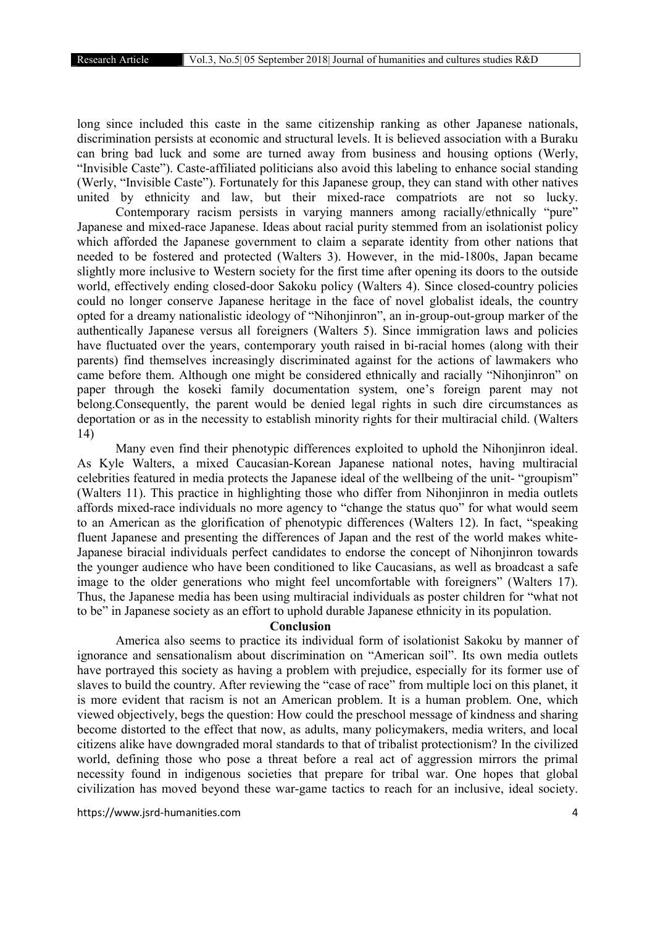long since included this caste in the same citizenship ranking as other Japanese nationals, discrimination persists at economic and structural levels. It is believed association with a Buraku can bring bad luck and some are turned away from business and housing options (Werly, "Invisible Caste"). Caste-affiliated politicians also avoid this labeling to enhance social standing (Werly, "Invisible Caste"). Fortunately for this Japanese group, they can stand with other natives united by ethnicity and law, but their mixed-race compatriots are not so lucky.

Contemporary racism persists in varying manners among racially/ethnically "pure" Japanese and mixed-race Japanese. Ideas about racial purity stemmed from an isolationist policy which afforded the Japanese government to claim a separate identity from other nations that needed to be fostered and protected (Walters 3). However, in the mid-1800s, Japan became slightly more inclusive to Western society for the first time after opening its doors to the outside world, effectively ending closed-door Sakoku policy (Walters 4). Since closed-country policies could no longer conserve Japanese heritage in the face of novel globalist ideals, the country opted for a dreamy nationalistic ideology of "Nihonjinron", an in-group-out-group marker of the authentically Japanese versus all foreigners (Walters 5). Since immigration laws and policies have fluctuated over the years, contemporary youth raised in bi-racial homes (along with their parents) find themselves increasingly discriminated against for the actions of lawmakers who came before them. Although one might be considered ethnically and racially "Nihonjinron" on paper through the koseki family documentation system, one's foreign parent may not belong.Consequently, the parent would be denied legal rights in such dire circumstances as deportation or as in the necessity to establish minority rights for their multiracial child. (Walters 14)

Many even find their phenotypic differences exploited to uphold the Nihonjinron ideal. As Kyle Walters, a mixed Caucasian-Korean Japanese national notes, having multiracial celebrities featured in media protects the Japanese ideal of the wellbeing of the unit- "groupism" (Walters 11). This practice in highlighting those who differ from Nihonjinron in media outlets affords mixed-race individuals no more agency to "change the status quo" for what would seem to an American as the glorification of phenotypic differences (Walters 12). In fact, "speaking fluent Japanese and presenting the differences of Japan and the rest of the world makes white-Japanese biracial individuals perfect candidates to endorse the concept of Nihonjinron towards the younger audience who have been conditioned to like Caucasians, as well as broadcast a safe image to the older generations who might feel uncomfortable with foreigners" (Walters 17). Thus, the Japanese media has been using multiracial individuals as poster children for "what not to be" in Japanese society as an effort to uphold durable Japanese ethnicity in its population.

### Conclusion

America also seems to practice its individual form of isolationist Sakoku by manner of ignorance and sensationalism about discrimination on "American soil". Its own media outlets have portrayed this society as having a problem with prejudice, especially for its former use of slaves to build the country. After reviewing the "case of race" from multiple loci on this planet, it is more evident that racism is not an American problem. It is a human problem. One, which viewed objectively, begs the question: How could the preschool message of kindness and sharing become distorted to the effect that now, as adults, many policymakers, media writers, and local citizens alike have downgraded moral standards to that of tribalist protectionism? In the civilized world, defining those who pose a threat before a real act of aggression mirrors the primal necessity found in indigenous societies that prepare for tribal war. One hopes that global civilization has moved beyond these war-game tactics to reach for an inclusive, ideal society.

https://www.jsrd-humanities.com 4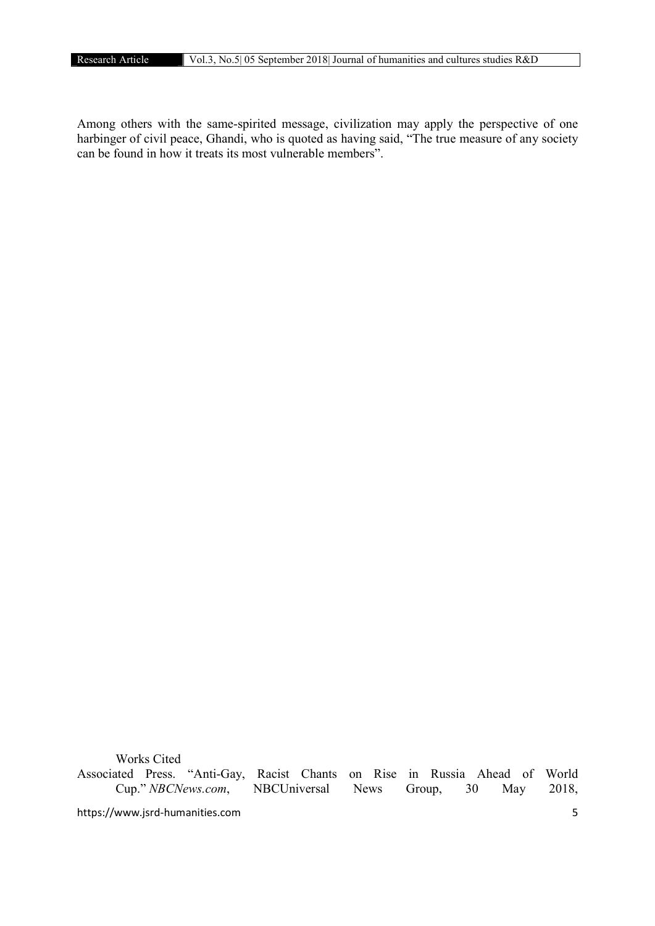Among others with the same-spirited message, civilization may apply the perspective of one harbinger of civil peace, Ghandi, who is quoted as having said, "The true measure of any society can be found in how it treats its most vulnerable members".

https://www.jsrd-humanities.com 5 Works Cited Associated Press. "Anti-Gay, Racist Chants on Rise in Russia Ahead of World Cup." *NBCNews.com*, NBCUniversal News Group, 30 May 2018,